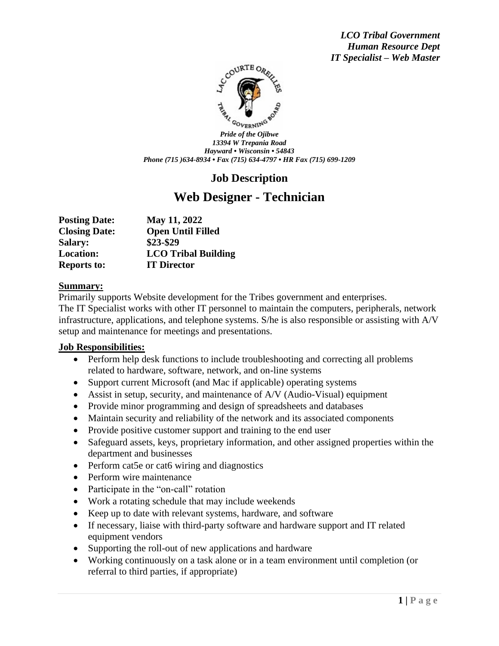*LCO Tribal Government Human Resource Dept IT Specialist – Web Master*



*Pride of the Ojibwe 13394 W Trepania Road Hayward • Wisconsin • 54843 Phone (715 )634-8934 • Fax (715) 634-4797 • HR Fax (715) 699-1209*

# **Job Description**

# **Web Designer - Technician**

| <b>Posting Date:</b> | May 11, 2022               |
|----------------------|----------------------------|
| <b>Closing Date:</b> | <b>Open Until Filled</b>   |
| <b>Salary:</b>       | \$23-\$29                  |
| <b>Location:</b>     | <b>LCO Tribal Building</b> |
| <b>Reports to:</b>   | <b>IT Director</b>         |

#### **Summary:**

Primarily supports Website development for the Tribes government and enterprises. The IT Specialist works with other IT personnel to maintain the computers, peripherals, network infrastructure, applications, and telephone systems. S/he is also responsible or assisting with A/V setup and maintenance for meetings and presentations.

#### **Job Responsibilities:**

- Perform help desk functions to include troubleshooting and correcting all problems related to hardware, software, network, and on-line systems
- Support current Microsoft (and Mac if applicable) operating systems
- Assist in setup, security, and maintenance of A/V (Audio-Visual) equipment
- Provide minor programming and design of spreadsheets and databases
- Maintain security and reliability of the network and its associated components
- Provide positive customer support and training to the end user
- Safeguard assets, keys, proprietary information, and other assigned properties within the department and businesses
- Perform cat5e or cat6 wiring and diagnostics
- Perform wire maintenance
- Participate in the "on-call" rotation
- Work a rotating schedule that may include weekends
- Keep up to date with relevant systems, hardware, and software
- If necessary, liaise with third-party software and hardware support and IT related equipment vendors
- Supporting the roll-out of new applications and hardware
- Working continuously on a task alone or in a team environment until completion (or referral to third parties, if appropriate)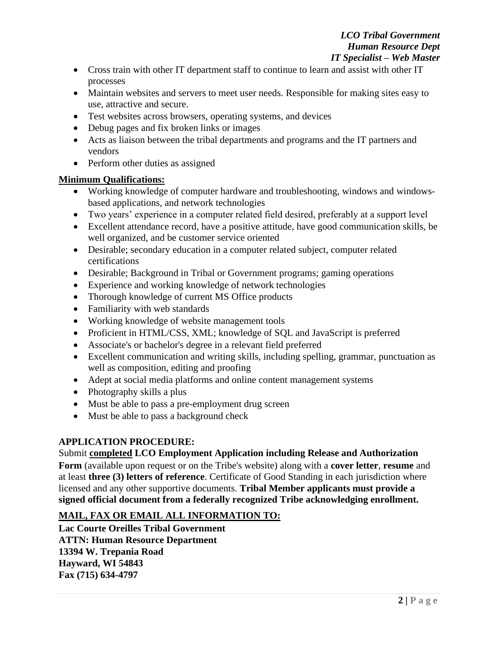- Cross train with other IT department staff to continue to learn and assist with other IT processes
- Maintain websites and servers to meet user needs. Responsible for making sites easy to use, attractive and secure.
- Test websites across browsers, operating systems, and devices
- Debug pages and fix broken links or images
- Acts as liaison between the tribal departments and programs and the IT partners and vendors
- Perform other duties as assigned

### **Minimum Qualifications:**

- Working knowledge of computer hardware and troubleshooting, windows and windowsbased applications, and network technologies
- Two years' experience in a computer related field desired, preferably at a support level
- Excellent attendance record, have a positive attitude, have good communication skills, be well organized, and be customer service oriented
- Desirable; secondary education in a computer related subject, computer related certifications
- Desirable; Background in Tribal or Government programs; gaming operations
- Experience and working knowledge of network technologies
- Thorough knowledge of current MS Office products
- Familiarity with web standards
- Working knowledge of website management tools
- Proficient in HTML/CSS, XML; knowledge of SQL and JavaScript is preferred
- Associate's or bachelor's degree in a relevant field preferred
- Excellent communication and writing skills, including spelling, grammar, punctuation as well as composition, editing and proofing
- Adept at social media platforms and online content management systems
- Photography skills a plus
- Must be able to pass a pre-employment drug screen
- Must be able to pass a background check

# **APPLICATION PROCEDURE:**

Submit **completed LCO Employment Application including Release and Authorization Form** (available upon request or on the Tribe's website) along with a **cover letter**, **resume** and at least **three (3) letters of reference**. Certificate of Good Standing in each jurisdiction where licensed and any other supportive documents. **Tribal Member applicants must provide a signed official document from a federally recognized Tribe acknowledging enrollment.** 

# **MAIL, FAX OR EMAIL ALL INFORMATION TO:**

**Lac Courte Oreilles Tribal Government ATTN: Human Resource Department 13394 W. Trepania Road Hayward, WI 54843 Fax (715) 634-4797**